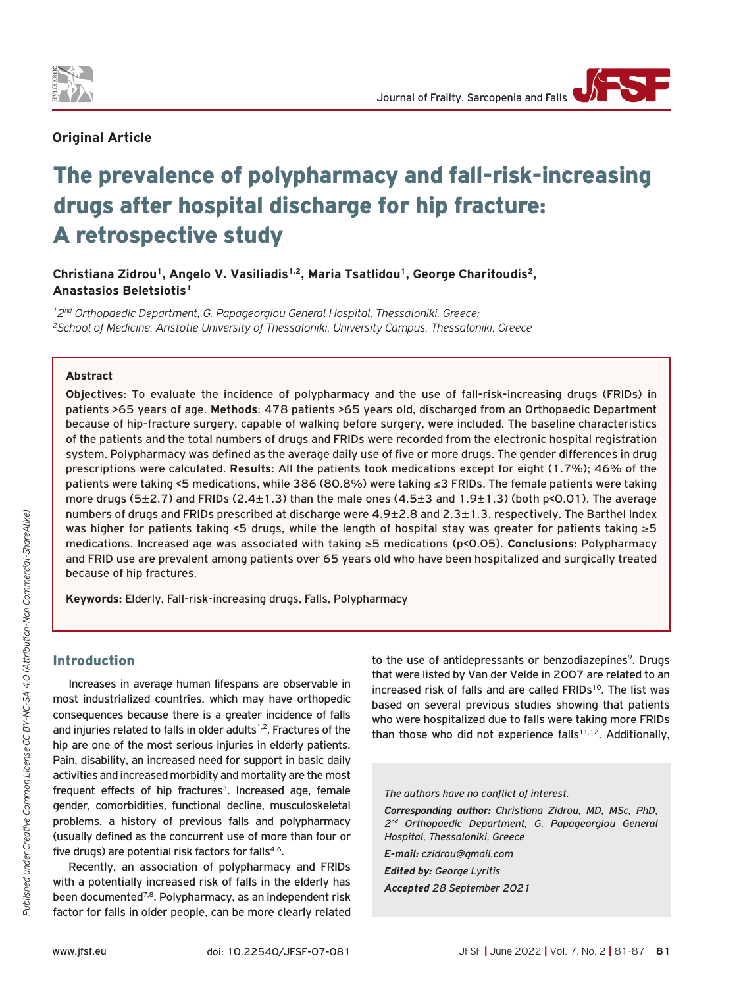

# **Original Article**

# The prevalence of polypharmacy and fall-risk-increasing drugs after hospital discharge for hip fracture: A retrospective study

Christiana Zidrou<sup>1</sup>, Angelo V. Vasiliadis<sup>1,2</sup>, Maria Tsatlidou<sup>1</sup>, George Charitoudis<sup>2</sup>, **Anastasios Beletsiotis1**

*12nd Orthopaedic Department, G. Papageorgiou General Hospital, Thessaloniki, Greece; 2School of Medicine, Aristotle University of Thessaloniki, University Campus, Thessaloniki, Greece*

#### **Abstract**

**Objectives**: To evaluate the incidence of polypharmacy and the use of fall-risk-increasing drugs (FRIDs) in patients >65 years of age. **Methods**: 478 patients >65 years old, discharged from an Orthopaedic Department because of hip-fracture surgery, capable of walking before surgery, were included. The baseline characteristics of the patients and the total numbers of drugs and FRIDs were recorded from the electronic hospital registration system. Polypharmacy was defined as the average daily use of five or more drugs. The gender differences in drug prescriptions were calculated. **Results**: All the patients took medications except for eight (1.7%); 46% of the patients were taking <5 medications, while 386 (80.8%) were taking ≤3 FRIDs. The female patients were taking more drugs (5 $\pm$ 2.7) and FRIDs (2.4 $\pm$ 1.3) than the male ones (4.5 $\pm$ 3 and 1.9 $\pm$ 1.3) (both p<0.01). The average numbers of drugs and FRIDs prescribed at discharge were 4.9±2.8 and 2.3±1.3, respectively. The Barthel Index was higher for patients taking <5 drugs, while the length of hospital stay was greater for patients taking ≥5 medications. Increased age was associated with taking ≥5 medications (p<0.05). **Conclusions**: Polypharmacy and FRID use are prevalent among patients over 65 years old who have been hospitalized and surgically treated because of hip fractures.

**Keywords:** Elderly, Fall-risk-increasing drugs, Falls, Polypharmacy

## Introduction

Increases in average human lifespans are observable in most industrialized countries, which may have orthopedic consequences because there is a greater incidence of falls and injuries related to falls in older adults<sup>1,2</sup>. Fractures of the hip are one of the most serious injuries in elderly patients. Pain, disability, an increased need for support in basic daily activities and increased morbidity and mortality are the most frequent effects of hip fractures<sup>3</sup>. Increased age, female gender, comorbidities, functional decline, musculoskeletal problems, a history of previous falls and polypharmacy (usually defined as the concurrent use of more than four or five drugs) are potential risk factors for falls $4-6$ .

Recently, an association of polypharmacy and FRIDs with a potentially increased risk of falls in the elderly has been documented<sup>7,8</sup>. Polypharmacy, as an independent risk factor for falls in older people, can be more clearly related to the use of antidepressants or benzodiazepines<sup>9</sup>. Drugs that were listed by Van der Velde in 2007 are related to an increased risk of falls and are called FRIDs<sup>10</sup>. The list was based on several previous studies showing that patients who were hospitalized due to falls were taking more FRIDs than those who did not experience falls<sup>11,12</sup>. Additionally,

#### *The authors have no conflict of interest.*

*Corresponding author: Christiana Zidrou, MD, MSc, PhD, 2nd Orthopaedic Department, G. Papageorgiou General Hospital, Thessaloniki, Greece*

*E-mail: czidrou@gmail.com*

*Edited by: George Lyritis Accepted 28 September 2021*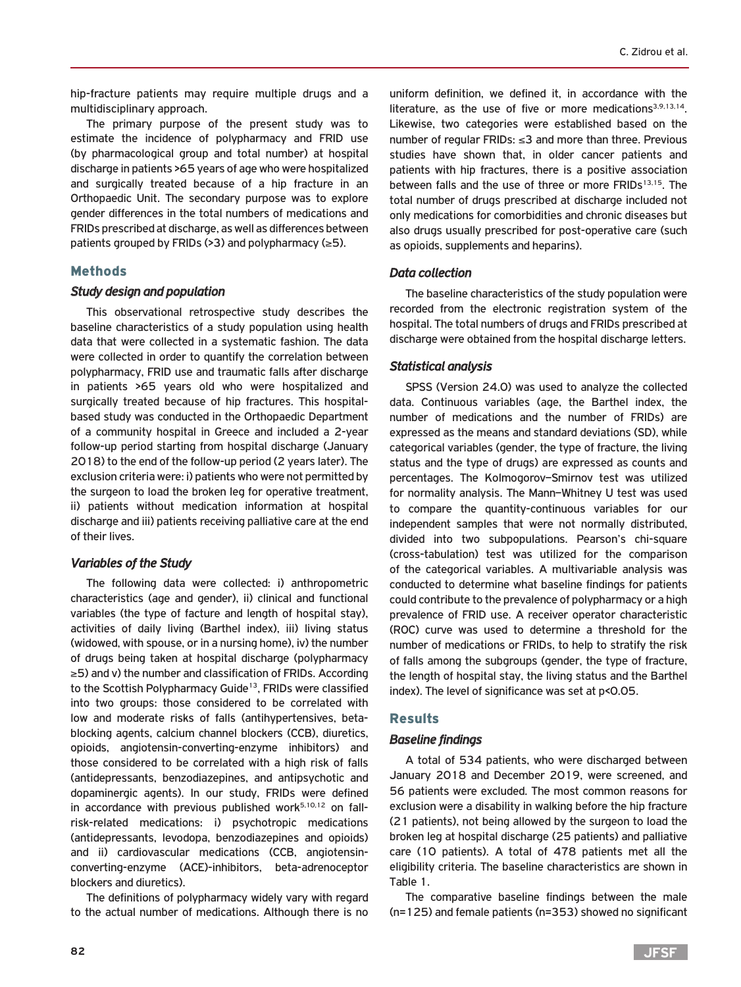hip-fracture patients may require multiple drugs and a multidisciplinary approach.

The primary purpose of the present study was to estimate the incidence of polypharmacy and FRID use (by pharmacological group and total number) at hospital discharge in patients >65 years of age who were hospitalized and surgically treated because of a hip fracture in an Orthopaedic Unit. The secondary purpose was to explore gender differences in the total numbers of medications and FRIDs prescribed at discharge, as well as differences between patients grouped by FRIDs (>3) and polypharmacy ( $\geq$ 5).

# Methods

#### *Study design and population*

This observational retrospective study describes the baseline characteristics of a study population using health data that were collected in a systematic fashion. The data were collected in order to quantify the correlation between polypharmacy, FRID use and traumatic falls after discharge in patients >65 years old who were hospitalized and surgically treated because of hip fractures. This hospitalbased study was conducted in the Orthopaedic Department of a community hospital in Greece and included a 2-year follow-up period starting from hospital discharge (January 2018) to the end of the follow-up period (2 years later). The exclusion criteria were: i) patients who were not permitted by the surgeon to load the broken leg for operative treatment, ii) patients without medication information at hospital discharge and iii) patients receiving palliative care at the end of their lives.

#### *Variables of the Study*

The following data were collected: i) anthropometric characteristics (age and gender), ii) clinical and functional variables (the type of facture and length of hospital stay), activities of daily living (Barthel index), iii) living status (widowed, with spouse, or in a nursing home), iv) the number of drugs being taken at hospital discharge (polypharmacy ≥5) and v) the number and classification of FRIDs. According to the Scottish Polypharmacy Guide<sup>13</sup>, FRIDs were classified into two groups: those considered to be correlated with low and moderate risks of falls (antihypertensives, betablocking agents, calcium channel blockers (CCB), diuretics, opioids, angiotensin-converting-enzyme inhibitors) and those considered to be correlated with a high risk of falls (antidepressants, benzodiazepines, and antipsychotic and dopaminergic agents). In our study, FRIDs were defined in accordance with previous published work $5,10,12$  on fallrisk-related medications: i) psychotropic medications (antidepressants, levodopa, benzodiazepines and opioids) and ii) cardiovascular medications (CCB, angiotensinconverting-enzyme (ACE)-inhibitors, beta-adrenoceptor blockers and diuretics).

The definitions of polypharmacy widely vary with regard to the actual number of medications. Although there is no

uniform definition, we defined it, in accordance with the literature, as the use of five or more medications<sup>3,9,13,14</sup>. Likewise, two categories were established based on the number of regular FRIDs: ≤3 and more than three. Previous studies have shown that, in older cancer patients and patients with hip fractures, there is a positive association between falls and the use of three or more FRIDs<sup>13,15</sup>. The total number of drugs prescribed at discharge included not only medications for comorbidities and chronic diseases but also drugs usually prescribed for post-operative care (such as opioids, supplements and heparins).

### *Data collection*

The baseline characteristics of the study population were recorded from the electronic registration system of the hospital. The total numbers of drugs and FRIDs prescribed at discharge were obtained from the hospital discharge letters.

#### *Statistical analysis*

SPSS (Version 24.0) was used to analyze the collected data. Continuous variables (age, the Barthel index, the number of medications and the number of FRIDs) are expressed as the means and standard deviations (SD), while categorical variables (gender, the type of fracture, the living status and the type of drugs) are expressed as counts and percentages. The Kolmogorov–Smirnov test was utilized for normality analysis. The Mann–Whitney U test was used to compare the quantity-continuous variables for our independent samples that were not normally distributed, divided into two subpopulations. Pearson's chi-square (cross-tabulation) test was utilized for the comparison of the categorical variables. A multivariable analysis was conducted to determine what baseline findings for patients could contribute to the prevalence of polypharmacy or a high prevalence of FRID use. A receiver operator characteristic (ROC) curve was used to determine a threshold for the number of medications or FRIDs, to help to stratify the risk of falls among the subgroups (gender, the type of fracture, the length of hospital stay, the living status and the Barthel index). The level of significance was set at p<0.05.

# Results

# *Baseline findings*

A total of 534 patients, who were discharged between January 2018 and December 2019, were screened, and 56 patients were excluded. The most common reasons for exclusion were a disability in walking before the hip fracture (21 patients), not being allowed by the surgeon to load the broken leg at hospital discharge (25 patients) and palliative care (10 patients). A total of 478 patients met all the eligibility criteria. The baseline characteristics are shown in Table 1.

The comparative baseline findings between the male (n=125) and female patients (n=353) showed no significant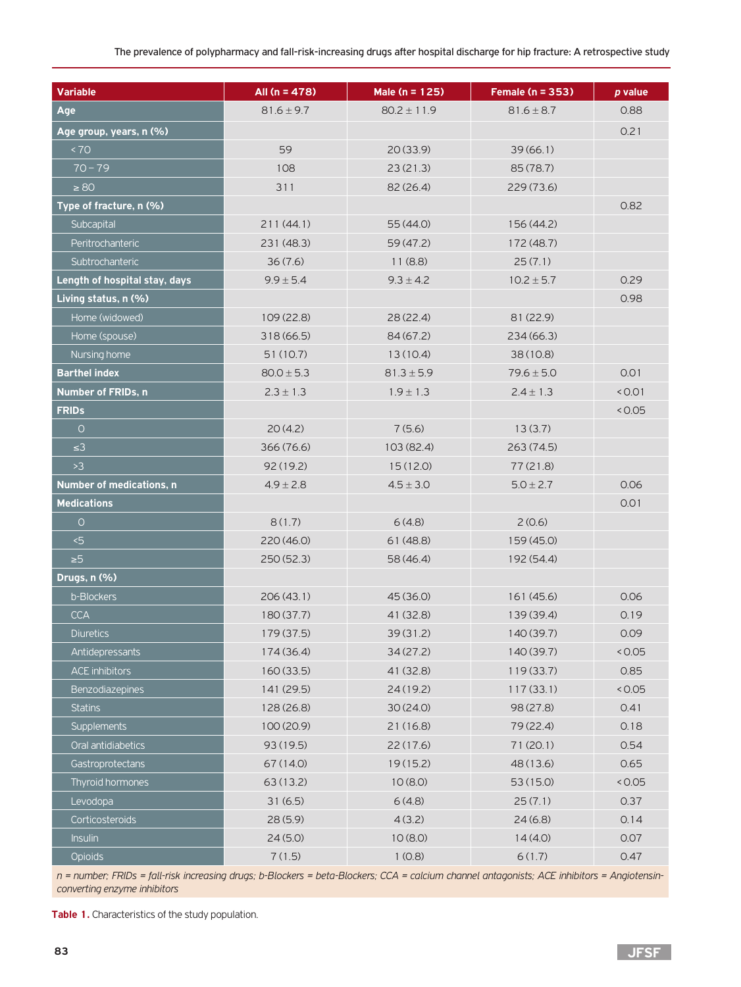| <b>Variable</b>                 | All $(n = 478)$ | Male (n = 125)  | Female (n = 353) | p value |
|---------------------------------|-----------------|-----------------|------------------|---------|
| Age                             | $81.6 \pm 9.7$  | $80.2 \pm 11.9$ | $81.6 \pm 8.7$   | 0.88    |
| Age group, years, n (%)         |                 |                 |                  | 0.21    |
| < 70                            | 59              | 20(33.9)        | 39(66.1)         |         |
| $70 - 79$                       | 108             | 23(21.3)        | 85 (78.7)        |         |
| $\geq 80$                       | 311             | 82 (26.4)       | 229 (73.6)       |         |
| Type of fracture, n (%)         |                 |                 |                  | 0.82    |
| Subcapital                      | 211(44.1)       | 55 (44.0)       | 156 (44.2)       |         |
| Peritrochanteric                | 231 (48.3)      | 59(47.2)        | 172 (48.7)       |         |
| Subtrochanteric                 | 36(7.6)         | 11(8.8)         | 25(7.1)          |         |
| Length of hospital stay, days   | $9.9 \pm 5.4$   | $9.3 \pm 4.2$   | $10.2 \pm 5.7$   | 0.29    |
| Living status, n (%)            |                 |                 |                  | 0.98    |
| Home (widowed)                  | 109(22.8)       | 28(22.4)        | 81 (22.9)        |         |
| Home (spouse)                   | 318 (66.5)      | 84 (67.2)       | 234 (66.3)       |         |
| Nursing home                    | 51(10.7)        | 13(10.4)        | 38(10.8)         |         |
| <b>Barthel index</b>            | $80.0 \pm 5.3$  | $81.3 \pm 5.9$  | $79.6 \pm 5.0$   | 0.01    |
| <b>Number of FRIDs, n</b>       | $2.3 \pm 1.3$   | $1.9 \pm 1.3$   | $2.4 \pm 1.3$    | < 0.01  |
| <b>FRIDS</b>                    |                 |                 |                  | < 0.05  |
| $\circ$                         | 20(4.2)         | 7(5.6)          | 13(3.7)          |         |
| $\leq$ 3                        | 366 (76.6)      | 103 (82.4)      | 263 (74.5)       |         |
| >3                              | 92(19.2)        | 15(12.0)        | 77(21.8)         |         |
| <b>Number of medications, n</b> | $4.9 \pm 2.8$   | $4.5 \pm 3.0$   | $5.0 \pm 2.7$    | 0.06    |
| <b>Medications</b>              |                 |                 |                  | 0.01    |
| $\circ$                         | 8(1.7)          | 6(4.8)          | 2(0.6)           |         |
| $5 - 5$                         | 220 (46.0)      | 61(48.8)        | 159 (45.0)       |         |
| $\geq 5$                        | 250 (52.3)      | 58 (46.4)       | 192 (54.4)       |         |
| Drugs, n (%)                    |                 |                 |                  |         |
| b-Blockers                      | 206(43.1)       | 45 (36.0)       | 161 (45.6)       | 0.06    |
| <b>CCA</b>                      | 180 (37.7)      | 41 (32.8)       | 139 (39.4)       | 0.19    |
| <b>Diuretics</b>                | 179 (37.5)      | 39(31.2)        | 140 (39.7)       | 0.09    |
| Antidepressants                 | 174 (36.4)      | 34(27.2)        | 140 (39.7)       | < 0.05  |
| <b>ACE inhibitors</b>           | 160(33.5)       | 41 (32.8)       | 119(33.7)        | 0.85    |
| <b>Benzodiazepines</b>          | 141 (29.5)      | 24(19.2)        | 117(33.1)        | < 0.05  |
| <b>Statins</b>                  | 128 (26.8)      | 30(24.0)        | 98 (27.8)        | 0.41    |
| <b>Supplements</b>              | 100 (20.9)      | 21(16.8)        | 79 (22.4)        | 0.18    |
| Oral antidiabetics              | 93 (19.5)       | 22(17.6)        | 71(20.1)         | 0.54    |
| Gastroprotectans                | 67 (14.0)       | 19(15.2)        | 48 (13.6)        | 0.65    |
| Thyroid hormones                | 63 (13.2)       | 10(8.0)         | 53 (15.0)        | < 0.05  |
| Levodopa                        | 31(6.5)         | 6(4.8)          | 25(7.1)          | 0.37    |
| Corticosteroids                 | 28(5.9)         | 4(3.2)          | 24(6.8)          | 0.14    |
| <b>Insulin</b>                  | 24(5.0)         | 10(8.0)         | 14(4.0)          | 0.07    |
| <b>Opioids</b>                  | 7(1.5)          | 1(0.8)          | 6(1.7)           | 0.47    |

*n = number; FRIDs = fall-risk increasing drugs; b-Blockers = beta-Blockers; CCA = calcium channel antagonists; ACE inhibitors = Angiotensinconverting enzyme inhibitors*

**Table 1.** Characteristics of the study population.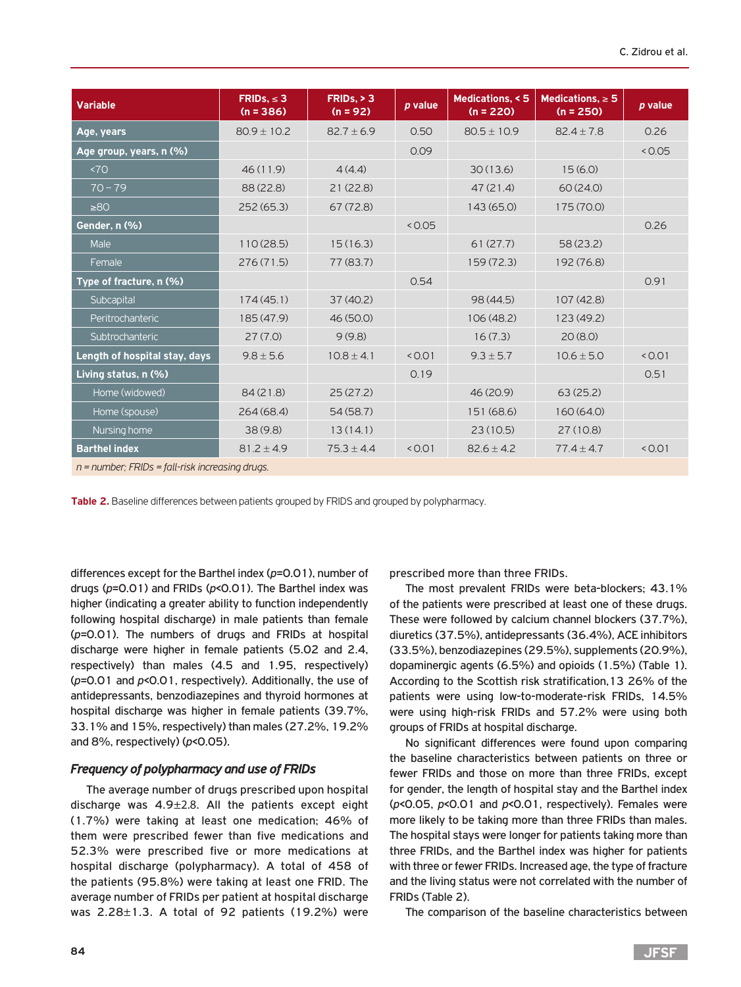| <b>Variable</b>                                   | FRIDS, $\leq$ 3<br>$(n = 386)$ | FRIDs, > 3<br>$(n = 92)$ | p value | Medications, < 5<br>$(n = 220)$ | Medications, $\geq 5$<br>$(n = 250)$ | p value |  |  |
|---------------------------------------------------|--------------------------------|--------------------------|---------|---------------------------------|--------------------------------------|---------|--|--|
| Age, years                                        | $80.9 \pm 10.2$                | $82.7 \pm 6.9$           | 0.50    | $80.5 \pm 10.9$                 | $82.4 \pm 7.8$                       | 0.26    |  |  |
| Age group, years, n (%)                           |                                |                          | 0.09    |                                 |                                      | < 0.05  |  |  |
| 570                                               | 46(11.9)                       | 4(4.4)                   |         | 30(13.6)                        | 15(6.0)                              |         |  |  |
| $70 - 79$                                         | 88 (22.8)                      | 21(22.8)                 |         | 47(21.4)                        | 60(24.0)                             |         |  |  |
| >80                                               | 252(65.3)                      | 67(72.8)                 |         | 143 (65.0)                      | 175 (70.0)                           |         |  |  |
| Gender, n (%)                                     |                                |                          | 0.05    |                                 |                                      | 0.26    |  |  |
| Male                                              | 110(28.5)                      | 15(16.3)                 |         | 61(27.7)                        | 58(23.2)                             |         |  |  |
| Female                                            | 276(71.5)                      | 77 (83.7)                |         | 159 (72.3)                      | 192 (76.8)                           |         |  |  |
| Type of fracture, n (%)                           |                                |                          | 0.54    |                                 |                                      | 0.91    |  |  |
| Subcapital                                        | 174(45.1)                      | 37(40.2)                 |         | 98 (44.5)                       | 107(42.8)                            |         |  |  |
| Peritrochanteric                                  | 185 (47.9)                     | 46 (50.0)                |         | 106 (48.2)                      | 123 (49.2)                           |         |  |  |
| Subtrochanteric                                   | 27(7.0)                        | 9(9.8)                   |         | 16(7.3)                         | 20(8.0)                              |         |  |  |
| Length of hospital stay, days                     | $9.8 \pm 5.6$                  | $10.8 \pm 4.1$           | < 0.01  | $9.3 \pm 5.7$                   | $10.6 \pm 5.0$                       | < 0.01  |  |  |
| Living status, n (%)                              |                                |                          | 0.19    |                                 |                                      | 0.51    |  |  |
| Home (widowed)                                    | 84(21.8)                       | 25(27.2)                 |         | 46 (20.9)                       | 63(25.2)                             |         |  |  |
| Home (spouse)                                     | 264(68.4)                      | 54(58.7)                 |         | 151 (68.6)                      | 160(64.0)                            |         |  |  |
| Nursing home                                      | 38(9.8)                        | 13(14.1)                 |         | 23(10.5)                        | 27(10.8)                             |         |  |  |
| <b>Barthel index</b>                              | $81.2 \pm 4.9$                 | $75.3 \pm 4.4$           | < 0.01  | $82.6 \pm 4.2$                  | $77.4 \pm 4.7$                       | < 0.01  |  |  |
| $n =$ number; FRIDs = fall-risk increasing drugs. |                                |                          |         |                                 |                                      |         |  |  |

**Table 2.** Baseline differences between patients grouped by FRIDS and grouped by polypharmacy.

differences except for the Barthel index (*p*=0.01), number of drugs (*p*=0.01) and FRIDs (*p*<0.01). The Barthel index was higher (indicating a greater ability to function independently following hospital discharge) in male patients than female (*p*=0.01). The numbers of drugs and FRIDs at hospital discharge were higher in female patients (5.02 and 2.4, respectively) than males (4.5 and 1.95, respectively) (*p*=0.01 and *p*<0.01, respectively). Additionally, the use of antidepressants, benzodiazepines and thyroid hormones at hospital discharge was higher in female patients (39.7%, 33.1% and 15%, respectively) than males (27.2%, 19.2% and 8%, respectively) (*p*<0.05).

# *Frequency of polypharmacy and use of FRIDs*

The average number of drugs prescribed upon hospital discharge was 4.9±2.8. All the patients except eight (1.7%) were taking at least one medication; 46% of them were prescribed fewer than five medications and 52.3% were prescribed five or more medications at hospital discharge (polypharmacy). A total of 458 of the patients (95.8%) were taking at least one FRID. The average number of FRIDs per patient at hospital discharge was  $2.28 \pm 1.3$ . A total of 92 patients (19.2%) were prescribed more than three FRIDs.

The most prevalent FRIDs were beta-blockers; 43.1% of the patients were prescribed at least one of these drugs. These were followed by calcium channel blockers (37.7%), diuretics (37.5%), antidepressants (36.4%), ACE inhibitors (33.5%), benzodiazepines (29.5%), supplements (20.9%), dopaminergic agents (6.5%) and opioids (1.5%) (Table 1). According to the Scottish risk stratification,13 26% of the patients were using low-to-moderate-risk FRIDs, 14.5% were using high-risk FRIDs and 57.2% were using both groups of FRIDs at hospital discharge.

No significant differences were found upon comparing the baseline characteristics between patients on three or fewer FRIDs and those on more than three FRIDs, except for gender, the length of hospital stay and the Barthel index (*p*<0.05, *p*<0.01 and *p*<0.01, respectively). Females were more likely to be taking more than three FRIDs than males. The hospital stays were longer for patients taking more than three FRIDs, and the Barthel index was higher for patients with three or fewer FRIDs. Increased age, the type of fracture and the living status were not correlated with the number of FRIDs (Table 2).

The comparison of the baseline characteristics between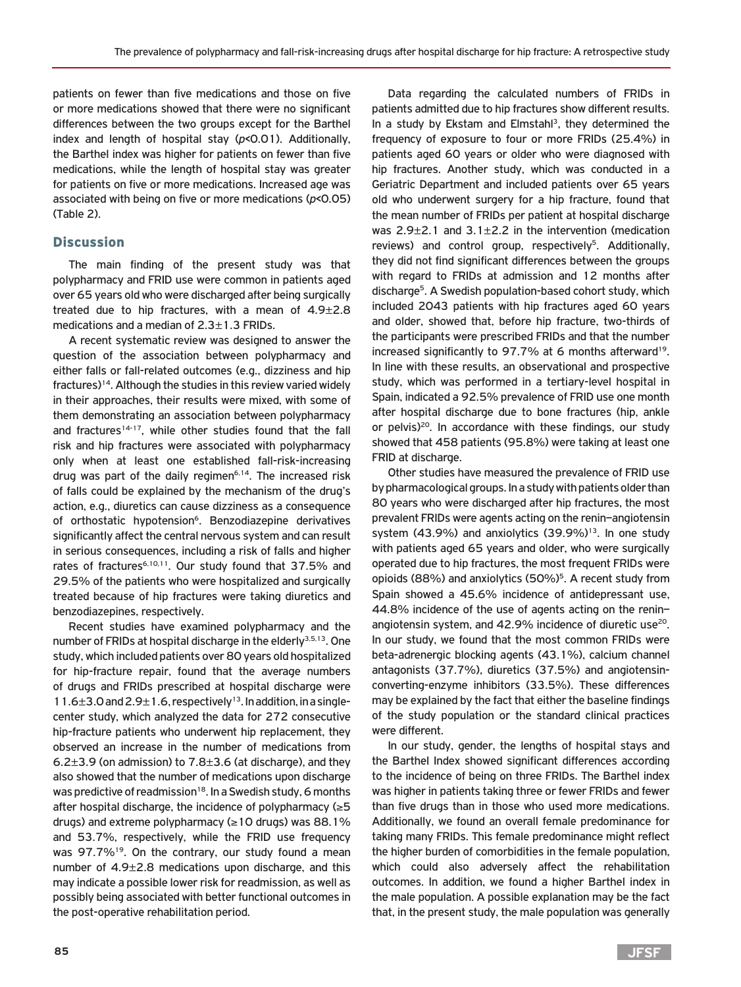patients on fewer than five medications and those on five or more medications showed that there were no significant differences between the two groups except for the Barthel index and length of hospital stay (*p*<0.01). Additionally, the Barthel index was higher for patients on fewer than five medications, while the length of hospital stay was greater for patients on five or more medications. Increased age was associated with being on five or more medications (*p*<0.05) (Table 2).

# **Discussion**

The main finding of the present study was that polypharmacy and FRID use were common in patients aged over 65 years old who were discharged after being surgically treated due to hip fractures, with a mean of 4.9±2.8 medications and a median of 2.3±1.3 FRIDs.

A recent systematic review was designed to answer the question of the association between polypharmacy and either falls or fall-related outcomes (e.g., dizziness and hip fractures)14. Although the studies in this review varied widely in their approaches, their results were mixed, with some of them demonstrating an association between polypharmacy and fractures<sup>14-17</sup>, while other studies found that the fall risk and hip fractures were associated with polypharmacy only when at least one established fall-risk-increasing drug was part of the daily regimen<sup>6,14</sup>. The increased risk of falls could be explained by the mechanism of the drug's action, e.g., diuretics can cause dizziness as a consequence of orthostatic hypotension<sup>6</sup>. Benzodiazepine derivatives significantly affect the central nervous system and can result in serious consequences, including a risk of falls and higher rates of fractures<sup>6,10,11</sup>. Our study found that 37.5% and 29.5% of the patients who were hospitalized and surgically treated because of hip fractures were taking diuretics and benzodiazepines, respectively.

Recent studies have examined polypharmacy and the number of FRIDs at hospital discharge in the elderly<sup>3,5,13</sup>. One study, which included patients over 80 years old hospitalized for hip-fracture repair, found that the average numbers of drugs and FRIDs prescribed at hospital discharge were  $11.6\pm3.0$  and  $2.9\pm1.6$ , respectively<sup>13</sup>. In addition, in a singlecenter study, which analyzed the data for 272 consecutive hip-fracture patients who underwent hip replacement, they observed an increase in the number of medications from 6.2 $\pm$ 3.9 (on admission) to 7.8 $\pm$ 3.6 (at discharge), and they also showed that the number of medications upon discharge was predictive of readmission<sup>18</sup>. In a Swedish study, 6 months after hospital discharge, the incidence of polypharmacy (≥5 drugs) and extreme polypharmacy ( $\geq 10$  drugs) was 88.1% and 53.7%, respectively, while the FRID use frequency was 97.7%<sup>19</sup>. On the contrary, our study found a mean number of 4.9±2.8 medications upon discharge, and this may indicate a possible lower risk for readmission, as well as possibly being associated with better functional outcomes in the post-operative rehabilitation period.

Data regarding the calculated numbers of FRIDs in patients admitted due to hip fractures show different results. In a study by Ekstam and Elmstahl<sup>3</sup>, they determined the frequency of exposure to four or more FRIDs (25.4%) in patients aged 60 years or older who were diagnosed with hip fractures. Another study, which was conducted in a Geriatric Department and included patients over 65 years old who underwent surgery for a hip fracture, found that the mean number of FRIDs per patient at hospital discharge was  $2.9\pm2.1$  and  $3.1\pm2.2$  in the intervention (medication reviews) and control group, respectively<sup>5</sup>. Additionally, they did not find significant differences between the groups with regard to FRIDs at admission and 12 months after discharge<sup>5</sup>. A Swedish population-based cohort study, which included 2043 patients with hip fractures aged 60 years and older, showed that, before hip fracture, two-thirds of the participants were prescribed FRIDs and that the number increased significantly to 97.7% at 6 months afterward<sup>19</sup>. In line with these results, an observational and prospective study, which was performed in a tertiary-level hospital in Spain, indicated a 92.5% prevalence of FRID use one month after hospital discharge due to bone fractures (hip, ankle or pelvis) $20$ . In accordance with these findings, our study showed that 458 patients (95.8%) were taking at least one FRID at discharge.

Other studies have measured the prevalence of FRID use by pharmacological groups. In a study with patients older than 80 years who were discharged after hip fractures, the most prevalent FRIDs were agents acting on the renin–angiotensin system (43.9%) and anxiolytics  $(39.9\%)^{13}$ . In one study with patients aged 65 years and older, who were surgically operated due to hip fractures, the most frequent FRIDs were opioids (88%) and anxiolytics (50%)<sup>5</sup>. A recent study from Spain showed a 45.6% incidence of antidepressant use, 44.8% incidence of the use of agents acting on the renin– angiotensin system, and  $42.9\%$  incidence of diuretic use<sup>20</sup>. In our study, we found that the most common FRIDs were beta-adrenergic blocking agents (43.1%), calcium channel antagonists (37.7%), diuretics (37.5%) and angiotensinconverting-enzyme inhibitors (33.5%). These differences may be explained by the fact that either the baseline findings of the study population or the standard clinical practices were different.

In our study, gender, the lengths of hospital stays and the Barthel Index showed significant differences according to the incidence of being on three FRIDs. The Barthel index was higher in patients taking three or fewer FRIDs and fewer than five drugs than in those who used more medications. Additionally, we found an overall female predominance for taking many FRIDs. This female predominance might reflect the higher burden of comorbidities in the female population, which could also adversely affect the rehabilitation outcomes. In addition, we found a higher Barthel index in the male population. A possible explanation may be the fact that, in the present study, the male population was generally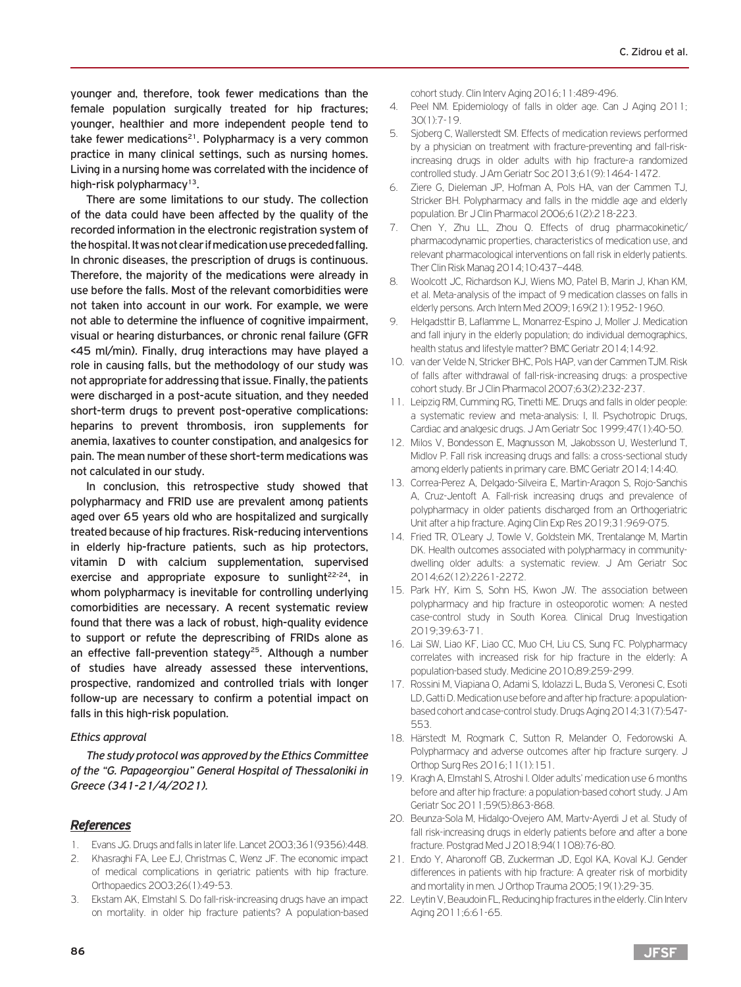younger and, therefore, took fewer medications than the female population surgically treated for hip fractures; younger, healthier and more independent people tend to take fewer medications<sup>21</sup>. Polypharmacy is a very common practice in many clinical settings, such as nursing homes. Living in a nursing home was correlated with the incidence of high-risk polypharmacy<sup>13</sup>.

There are some limitations to our study. The collection of the data could have been affected by the quality of the recorded information in the electronic registration system of the hospital. It was not clear if medication use preceded falling. In chronic diseases, the prescription of drugs is continuous. Therefore, the majority of the medications were already in use before the falls. Most of the relevant comorbidities were not taken into account in our work. For example, we were not able to determine the influence of cognitive impairment, visual or hearing disturbances, or chronic renal failure (GFR <45 ml/min). Finally, drug interactions may have played a role in causing falls, but the methodology of our study was not appropriate for addressing that issue. Finally, the patients were discharged in a post-acute situation, and they needed short-term drugs to prevent post-operative complications: heparins to prevent thrombosis, iron supplements for anemia, laxatives to counter constipation, and analgesics for pain. The mean number of these short-term medications was not calculated in our study.

In conclusion, this retrospective study showed that polypharmacy and FRID use are prevalent among patients aged over 65 years old who are hospitalized and surgically treated because of hip fractures. Risk-reducing interventions in elderly hip-fracture patients, such as hip protectors, vitamin D with calcium supplementation, supervised exercise and appropriate exposure to sunlight<sup>22-24</sup>, in whom polypharmacy is inevitable for controlling underlying comorbidities are necessary. A recent systematic review found that there was a lack of robust, high-quality evidence to support or refute the deprescribing of FRIDs alone as an effective fall-prevention stategy<sup>25</sup>. Although a number of studies have already assessed these interventions, prospective, randomized and controlled trials with longer follow-up are necessary to confirm a potential impact on falls in this high-risk population.

# *Ethics approval*

*The study protocol was approved by the Ethics Committee of the "G. Papageorgiou" General Hospital of Thessaloniki in Greece (341-21/4/2021).*

# *References*

- 1. Evans JG. Drugs and falls in later life. Lancet 2003;361(9356):448.
- 2. Khasraghi FA, Lee EJ, Christmas C, Wenz JF. The economic impact of medical complications in geriatric patients with hip fracture. Orthopaedics 2003;26(1):49-53.
- 3. Ekstam AK, Elmstahl S. Do fall-risk-increasing drugs have an impact on mortality. in older hip fracture patients? A population-based

cohort study. Clin Interv Aging 2016;11:489-496.

- 4. Peel NM. Epidemiology of falls in older age. Can J Aging 2011; 30(1):7-19.
- 5. Sjoberg C, Wallerstedt SM. Effects of medication reviews performed by a physician on treatment with fracture-preventing and fall-riskincreasing drugs in older adults with hip fracture-a randomized controlled study. J Am Geriatr Soc 2013;61(9):1464-1472.
- 6. Ziere G, Dieleman JP, Hofman A, Pols HA, van der Cammen TJ, Stricker BH. Polypharmacy and falls in the middle age and elderly population. Br J Clin Pharmacol 2006;61(2):218-223.
- 7. Chen Y, Zhu LL, Zhou Q. Effects of drug pharmacokinetic/ pharmacodynamic properties, characteristics of medication use, and relevant pharmacological interventions on fall risk in elderly patients. Ther Clin Risk Manag 2014;10:437–448.
- 8. Woolcott JC, Richardson KJ, Wiens MO, Patel B, Marin J, Khan KM, et al. Meta-analysis of the impact of 9 medication classes on falls in elderly persons. Arch Intern Med 2009;169(21):1952-1960.
- 9. Helgadsttir B, Laflamme L, Monarrez-Espino J, Moller J. Medication and fall injury in the elderly population; do individual demographics, health status and lifestyle matter? BMC Geriatr 2014;14:92.
- 10. van der Velde N, Stricker BHC, Pols HAP, van der Cammen TJM. Risk of falls after withdrawal of fall-risk-increasing drugs: a prospective cohort study. Br J Clin Pharmacol 2007;63(2):232-237.
- 11. Leipzig RM, Cumming RG, Tinetti ME. Drugs and falls in older people: a systematic review and meta-analysis: I, II. Psychotropic Drugs, Cardiac and analgesic drugs. J Am Geriatr Soc 1999;47(1):40-50.
- 12. Milos V, Bondesson Ε, Magnusson M, Jakobsson U, Westerlund T, Midlov P. Fall risk increasing drugs and falls: a cross-sectional study among elderly patients in primary care. BMC Geriatr 2014;14:40.
- 13. Correa-Perez A, Delgado-Silveira E, Martin-Aragon S, Rojo-Sanchis A, Cruz-Jentoft A. Fall-risk increasing drugs and prevalence of polypharmacy in older patients discharged from an Orthogeriatric Unit after a hip fracture. Aging Clin Exp Res 2019;31:969-075.
- 14. Fried TR, O'Leary J, Towle V, Goldstein MK, Trentalange M, Martin DK. Health outcomes associated with polypharmacy in communitydwelling older adults: a systematic review. J Am Geriatr Soc 2014;62(12):2261-2272.
- 15. Park HY, Kim S, Sohn HS, Kwon JW. The association between polypharmacy and hip fracture in osteoporotic women: A nested case-control study in South Korea. Clinical Drug Investigation 2019;39:63-71.
- 16. Lai SW, Liao KF, Liao CC, Muo CH, Liu CS, Sung FC. Polypharmacy correlates with increased risk for hip fracture in the elderly: A population-based study. Medicine 2010;89:259-299.
- 17. Rossini M, Viapiana O, Adami S, Idolazzi L, Buda S, Veronesi C, Esoti LD, Gatti D. Medication use before and after hip fracture: a populationbased cohort and case-control study. Drugs Aging 2014;31(7):547- 553.
- 18. Härstedt M, Rogmark C, Sutton R, Melander O, Fedorowski A. Polypharmacy and adverse outcomes after hip fracture surgery. J Orthop Surg Res 2016;11(1):151.
- 19. Kragh A, Elmstahl S, Atroshi I. Older adults' medication use 6 months before and after hip fracture: a population-based cohort study. J Am Geriatr Soc 2011;59(5):863-868.
- 20. Beunza-Sola M, Hidalgo-Ovejero ΑM, Martν-Ayerdi J et al. Study of fall risk-increasing drugs in elderly patients before and after a bone fracture. Postgrad Med J 2018;94(1108):76-80.
- 21. Endo Y, Aharonoff GB, Zuckerman JD, Egol KA, Koval KJ. Gender differences in patients with hip fracture: A greater risk of morbidity and mortality in men. J Orthop Trauma 2005;19(1):29-35.
- 22. Leytin V, Beaudoin FL, Reducing hip fractures in the elderly. Clin Interv Aging 2011;6:61-65.